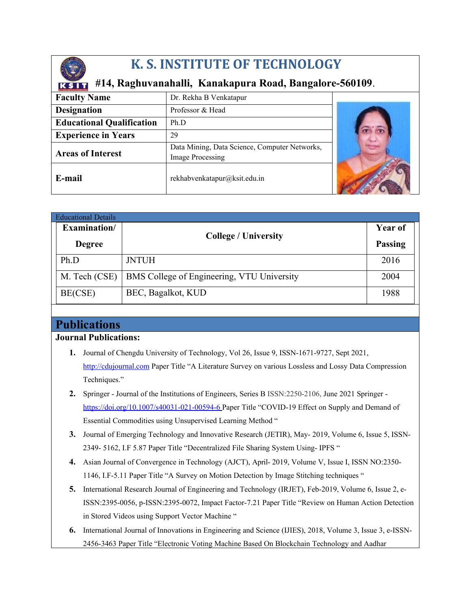

# **K. S. INSTITUTE OF TECHNOLOGY**

## **#14, Raghuvanahalli, Kanakapura Road, Bangalore-560109**.

| <b>Faculty Name</b>              | Dr. Rekha B Venkatapur                                                   |  |
|----------------------------------|--------------------------------------------------------------------------|--|
| <b>Designation</b>               | Professor & Head                                                         |  |
| <b>Educational Qualification</b> | Ph.D                                                                     |  |
| <b>Experience in Years</b>       | 29                                                                       |  |
| <b>Areas of Interest</b>         | Data Mining, Data Science, Computer Networks,<br><b>Image Processing</b> |  |
| E-mail                           | rekhabvenkatapur@ksit.edu.in                                             |  |

| <b>Educational Details</b> |                                            |                |
|----------------------------|--------------------------------------------|----------------|
| Examination/               | <b>College / University</b>                | <b>Year of</b> |
| <b>Degree</b>              |                                            | <b>Passing</b> |
| Ph.D                       | <b>JNTUH</b>                               | 2016           |
| M. Tech (CSE)              | BMS College of Engineering, VTU University | 2004           |
| BE(CSE)                    | BEC, Bagalkot, KUD                         | 1988           |

## **Publications**

#### **Journal Publications:**

- **1.** Journal of Chengdu University of Technology, Vol 26, Issue 9, ISSN-1671-9727, Sept 2021, [http://cdujournal.com](http://cdujournal.com/) Paper Title "A Literature Survey on various Lossless and Lossy Data Compression Techniques."
- **2.** Springer Journal of the Institutions of Engineers, Series B ISSN:2250-2106, June 2021 Springer https://doi.org/10.1007/s40031-021-00594-6 Paper Title "COVID-19 Effect on Supply and Demand of Essential Commodities using Unsupervised Learning Method "
- **3.** Journal of Emerging Technology and Innovative Research (JETIR), May- 2019, Volume 6, Issue 5, ISSN-2349- 5162, I.F 5.87 Paper Title "Decentralized File Sharing System Using- IPFS "
- **4.** Asian Journal of Convergence in Technology (AJCT), April- 2019, Volume V, Issue I, ISSN NO:2350- 1146, I.F-5.11 Paper Title "A Survey on Motion Detection by Image Stitching techniques "
- **5.** International Research Journal of Engineering and Technology (IRJET), Feb-2019, Volume 6, Issue 2, e-ISSN:2395-0056, p-ISSN:2395-0072, Impact Factor-7.21 Paper Title "Review on Human Action Detection in Stored Videos using Support Vector Machine "
- **6.** International Journal of Innovations in Engineering and Science (IJIES), 2018, Volume 3, Issue 3, e-ISSN-2456-3463 Paper Title "Electronic Voting Machine Based On Blockchain Technology and Aadhar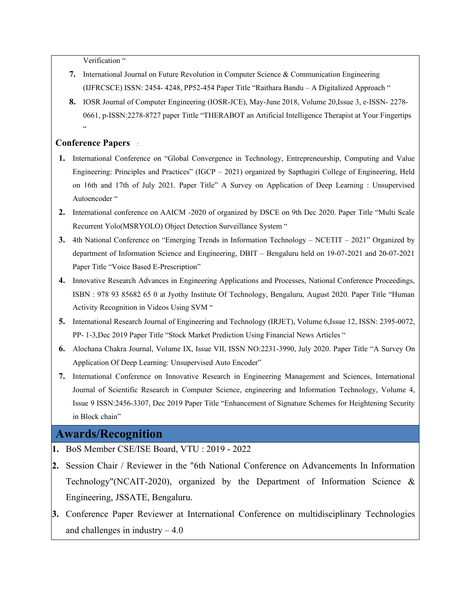Verification "

- **7.** International Journal on Future Revolution in Computer Science & Communication Engineering (IJFRCSCE) ISSN: 2454- 4248, PP52-454 Paper Title "Raithara Bandu – A Digitalized Approach "
- **8.** IOSR Journal of Computer Engineering (IOSR-JCE), May-June 2018, Volume 20,Issue 3, e-ISSN- 2278- 0661, p-ISSN:2278-8727 paper Tittle "THERABOT an Artificial Intelligence Therapist at Your Fingertips .<br>..

#### **Conference Papers** :

- **1.** International Conference on "Global Convergence in Technology, Entrepreneurship, Computing and Value Engineering: Principles and Practices" (IGCP – 2021) organized by Sapthagiri College of Engineering, Held on 16th and 17th of July 2021. Paper Title" A Survey on Application of Deep Learning : Unsupervised Autoencoder "
- **2.** International conference on AAICM -2020 of organized by DSCE on 9th Dec 2020. Paper Title "Multi Scale Recurrent Yolo(MSRYOLO) Object Detection Surveillance System "
- **3.** 4th National Conference on "Emerging Trends in Information Technology NCETIT 2021" Organized by department of Information Science and Engineering, DBIT – Bengaluru held on 19-07-2021 and 20-07-2021 Paper Title "Voice Based E-Prescription"
- **4.** Innovative Research Advances in Engineering Applications and Processes, National Conference Proceedings, ISBN : 978 93 85682 65 0 at Jyothy Institute Of Technology, Bengaluru, August 2020. Paper Title "Human Activity Recognition in Videos Using SVM "
- **5.** International Research Journal of Engineering and Technology (IRJET), Volume 6,Issue 12, ISSN: 2395-0072, PP- 1-3,Dec 2019 Paper Title "Stock Market Prediction Using Financial News Articles "
- **6.** Alochana Chakra Journal, Volume IX, Issue VII, ISSN NO:2231-3990, July 2020. Paper Title "A Survey On Application Of Deep Learning: Unsupervised Auto Encoder"
- **7.** International Conference on Innovative Research in Engineering Management and Sciences, International Journal of Scientific Research in Computer Science, engineering and Information Technology, Volume 4, Issue 9 ISSN:2456-3307, Dec 2019 Paper Title "Enhancement of Signature Schemes for Heightening Security in Block chain"

### **Awards/Recognition**

- **1.** BoS Member CSE/ISE Board, VTU : 2019 2022
- **2.** Session Chair / Reviewer in the "6th National Conference on Advancements In Information Technology"(NCAIT-2020), organized by the Department of Information Science & Engineering, JSSATE, Bengaluru.
- **3.** Conference Paper Reviewer at International Conference on multidisciplinary Technologies and challenges in industry  $-4.0$